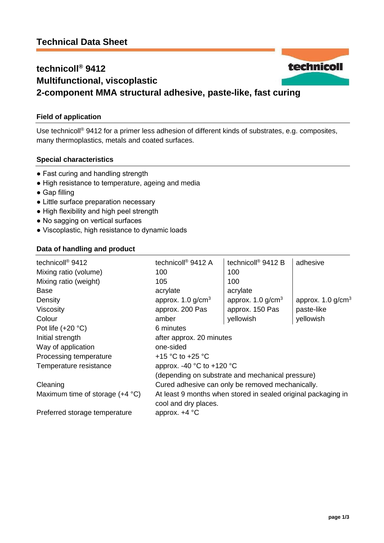## technicoll **technicoll® 9412 Multifunctional, viscoplastic 2-component MMA structural adhesive, paste-like, fast curing**

## **Field of application**

Use technicoll® 9412 for a primer less adhesion of different kinds of substrates, e.g. composites, many thermoplastics, metals and coated surfaces.

#### **Special characteristics**

- Fast curing and handling strength
- High resistance to temperature, ageing and media
- Gap filling
- Little surface preparation necessary
- High flexibility and high peel strength
- No sagging on vertical surfaces
- Viscoplastic, high resistance to dynamic loads

#### **Data of handling and product**

| technicoll <sup>®</sup> 9412             | technicoll <sup>®</sup> 9412 A                                                        | technicoll <sup>®</sup> 9412 B                   | adhesive                        |
|------------------------------------------|---------------------------------------------------------------------------------------|--------------------------------------------------|---------------------------------|
| Mixing ratio (volume)                    | 100                                                                                   | 100                                              |                                 |
| Mixing ratio (weight)                    | 105                                                                                   | 100                                              |                                 |
| Base                                     | acrylate                                                                              | acrylate                                         |                                 |
| Density                                  | approx. $1.0$ g/cm <sup>3</sup>                                                       | approx. $1.0$ g/cm <sup>3</sup>                  | approx. $1.0$ g/cm <sup>3</sup> |
| <b>Viscosity</b>                         | approx. 200 Pas                                                                       | approx. 150 Pas                                  | paste-like                      |
| Colour                                   | amber                                                                                 | yellowish                                        | yellowish                       |
| Pot life $(+20 °C)$                      | 6 minutes                                                                             |                                                  |                                 |
| Initial strength                         | after approx. 20 minutes                                                              |                                                  |                                 |
| Way of application                       | one-sided                                                                             |                                                  |                                 |
| Processing temperature                   | +15 $\degree$ C to +25 $\degree$ C                                                    |                                                  |                                 |
| Temperature resistance                   | approx. -40 $^{\circ}$ C to +120 $^{\circ}$ C                                         |                                                  |                                 |
|                                          |                                                                                       | (depending on substrate and mechanical pressure) |                                 |
| Cleaning                                 | Cured adhesive can only be removed mechanically.                                      |                                                  |                                 |
| Maximum time of storage $(+4 \degree C)$ | At least 9 months when stored in sealed original packaging in<br>cool and dry places. |                                                  |                                 |
| Preferred storage temperature            | approx. $+4$ °C                                                                       |                                                  |                                 |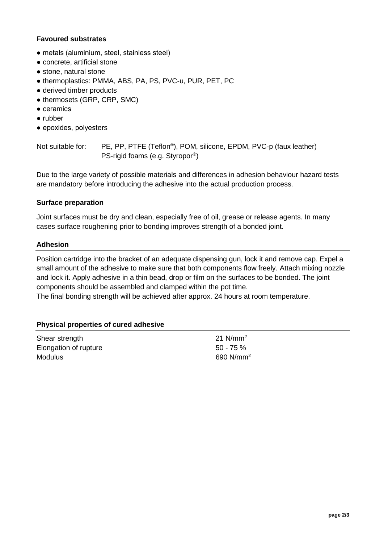## **Favoured substrates**

- metals (aluminium, steel, stainless steel)
- concrete, artificial stone
- stone, natural stone
- thermoplastics: PMMA, ABS, PA, PS, PVC-u, PUR, PET, PC
- derived timber products
- thermosets (GRP, CRP, SMC)
- ceramics
- rubber
- epoxides, polyesters

Not suitable for: PE, PP, PTFE (Teflon®), POM, silicone, EPDM, PVC-p (faux leather) PS-rigid foams (e.g. Styropor® )

Due to the large variety of possible materials and differences in adhesion behaviour hazard tests are mandatory before introducing the adhesive into the actual production process.

#### **Surface preparation**

Joint surfaces must be dry and clean, especially free of oil, grease or release agents. In many cases surface roughening prior to bonding improves strength of a bonded joint.

#### **Adhesion**

Position cartridge into the bracket of an adequate dispensing gun, lock it and remove cap. Expel a small amount of the adhesive to make sure that both components flow freely. Attach mixing nozzle and lock it. Apply adhesive in a thin bead, drop or film on the surfaces to be bonded. The joint components should be assembled and clamped within the pot time. The final bonding strength will be achieved after approx. 24 hours at room temperature.

#### **Physical properties of cured adhesive**

| Shear strength        | 21 $N/mm^2$  |
|-----------------------|--------------|
| Elongation of rupture | $50 - 75 \%$ |
| <b>Modulus</b>        | 690 $N/mm^2$ |